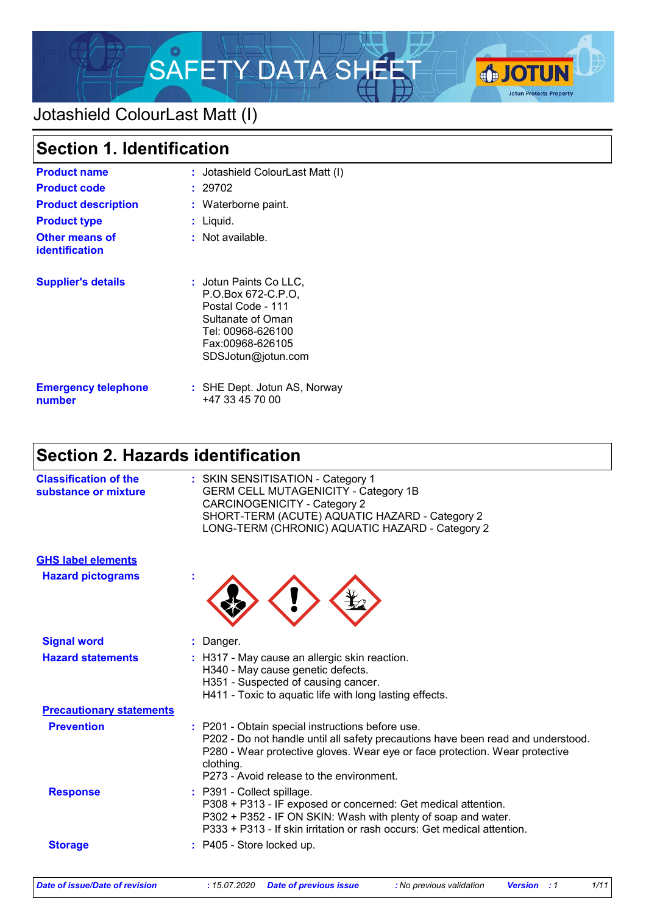

# Jotashield ColourLast Matt (I)

| <b>Section 1. Identification</b>        |                                                                                                                                                       |  |  |
|-----------------------------------------|-------------------------------------------------------------------------------------------------------------------------------------------------------|--|--|
| <b>Product name</b>                     | : Jotashield ColourLast Matt (I)                                                                                                                      |  |  |
| <b>Product code</b>                     | 29702                                                                                                                                                 |  |  |
| <b>Product description</b>              | : Waterborne paint.                                                                                                                                   |  |  |
| <b>Product type</b>                     | Liquid.                                                                                                                                               |  |  |
| <b>Other means of</b><br>identification | : Not available.                                                                                                                                      |  |  |
| <b>Supplier's details</b>               | : Jotun Paints Co LLC.<br>P.O.Box 672-C.P.O.<br>Postal Code - 111<br>Sultanate of Oman<br>Tel: 00968-626100<br>Fax:00968-626105<br>SDSJotun@jotun.com |  |  |
| <b>Emergency telephone</b><br>number    | : SHE Dept. Jotun AS, Norway<br>+47 33 45 70 00                                                                                                       |  |  |

# **Section 2. Hazards identification**

| <b>Classification of the</b><br>substance or mixture | : SKIN SENSITISATION - Category 1<br><b>GERM CELL MUTAGENICITY - Category 1B</b><br><b>CARCINOGENICITY - Category 2</b><br>SHORT-TERM (ACUTE) AQUATIC HAZARD - Category 2<br>LONG-TERM (CHRONIC) AQUATIC HAZARD - Category 2                                                 |
|------------------------------------------------------|------------------------------------------------------------------------------------------------------------------------------------------------------------------------------------------------------------------------------------------------------------------------------|
| <b>GHS label elements</b>                            |                                                                                                                                                                                                                                                                              |
| <b>Hazard pictograms</b>                             |                                                                                                                                                                                                                                                                              |
| <b>Signal word</b>                                   | : Danger.                                                                                                                                                                                                                                                                    |
| <b>Hazard statements</b>                             | : H317 - May cause an allergic skin reaction.<br>H340 - May cause genetic defects.<br>H351 - Suspected of causing cancer.<br>H411 - Toxic to aquatic life with long lasting effects.                                                                                         |
| <b>Precautionary statements</b>                      |                                                                                                                                                                                                                                                                              |
| <b>Prevention</b>                                    | : P201 - Obtain special instructions before use.<br>P202 - Do not handle until all safety precautions have been read and understood.<br>P280 - Wear protective gloves. Wear eye or face protection. Wear protective<br>clothing.<br>P273 - Avoid release to the environment. |
| <b>Response</b>                                      | : P391 - Collect spillage.<br>P308 + P313 - IF exposed or concerned: Get medical attention.<br>P302 + P352 - IF ON SKIN: Wash with plenty of soap and water.<br>P333 + P313 - If skin irritation or rash occurs: Get medical attention.                                      |
| <b>Storage</b>                                       | P405 - Store locked up.                                                                                                                                                                                                                                                      |
|                                                      |                                                                                                                                                                                                                                                                              |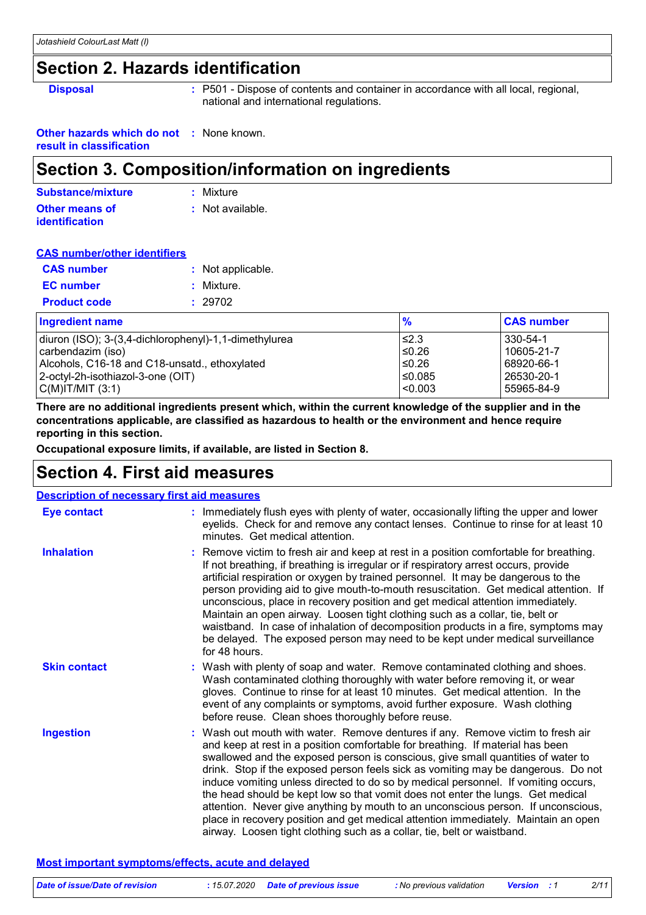### **Section 2. Hazards identification**

**Disposal :** P501 - Dispose of contents and container in accordance with all local, regional, national and international regulations.

**Other hazards which do not :** None known. **result in classification**

### **Section 3. Composition/information on ingredients**

| Substance/mixture     | : Mixture        |
|-----------------------|------------------|
| <b>Other means of</b> | : Not available. |
| <b>identification</b> |                  |

#### **CAS number/other identifiers**

| <b>CAS number</b>   | : Not applicable. |
|---------------------|-------------------|
| <b>EC</b> number    | : Mixture.        |
| <b>Product code</b> | : 29702           |

| <b>Ingredient name</b>                                | $\frac{9}{6}$ | <b>CAS number</b> |
|-------------------------------------------------------|---------------|-------------------|
| diuron (ISO); 3-(3,4-dichlorophenyl)-1,1-dimethylurea | ≤2.3          | 330-54-1          |
| carbendazim (iso)                                     | $≤0.26$       | 10605-21-7        |
| Alcohols, C16-18 and C18-unsatd., ethoxylated         | ≤0.26         | 68920-66-1        |
| 2-octyl-2h-isothiazol-3-one (OIT)                     | 50.085∣       | 26530-20-1        |
| C(M) T/MIT (3:1)                                      | $ $ <0.003    | 55965-84-9        |

**There are no additional ingredients present which, within the current knowledge of the supplier and in the concentrations applicable, are classified as hazardous to health or the environment and hence require reporting in this section.**

**Occupational exposure limits, if available, are listed in Section 8.**

### **Section 4. First aid measures**

| <b>Description of necessary first aid measures</b> |                                                                                                                                                                                                                                                                                                                                                                                                                                                                                                                                                                                                                                                                                                                                                                           |
|----------------------------------------------------|---------------------------------------------------------------------------------------------------------------------------------------------------------------------------------------------------------------------------------------------------------------------------------------------------------------------------------------------------------------------------------------------------------------------------------------------------------------------------------------------------------------------------------------------------------------------------------------------------------------------------------------------------------------------------------------------------------------------------------------------------------------------------|
| <b>Eye contact</b>                                 | : Immediately flush eyes with plenty of water, occasionally lifting the upper and lower<br>eyelids. Check for and remove any contact lenses. Continue to rinse for at least 10<br>minutes. Get medical attention.                                                                                                                                                                                                                                                                                                                                                                                                                                                                                                                                                         |
| <b>Inhalation</b>                                  | : Remove victim to fresh air and keep at rest in a position comfortable for breathing.<br>If not breathing, if breathing is irregular or if respiratory arrest occurs, provide<br>artificial respiration or oxygen by trained personnel. It may be dangerous to the<br>person providing aid to give mouth-to-mouth resuscitation. Get medical attention. If<br>unconscious, place in recovery position and get medical attention immediately.<br>Maintain an open airway. Loosen tight clothing such as a collar, tie, belt or<br>waistband. In case of inhalation of decomposition products in a fire, symptoms may<br>be delayed. The exposed person may need to be kept under medical surveillance<br>for 48 hours.                                                    |
| <b>Skin contact</b>                                | : Wash with plenty of soap and water. Remove contaminated clothing and shoes.<br>Wash contaminated clothing thoroughly with water before removing it, or wear<br>gloves. Continue to rinse for at least 10 minutes. Get medical attention. In the<br>event of any complaints or symptoms, avoid further exposure. Wash clothing<br>before reuse. Clean shoes thoroughly before reuse.                                                                                                                                                                                                                                                                                                                                                                                     |
| <b>Ingestion</b>                                   | : Wash out mouth with water. Remove dentures if any. Remove victim to fresh air<br>and keep at rest in a position comfortable for breathing. If material has been<br>swallowed and the exposed person is conscious, give small quantities of water to<br>drink. Stop if the exposed person feels sick as vomiting may be dangerous. Do not<br>induce vomiting unless directed to do so by medical personnel. If vomiting occurs,<br>the head should be kept low so that vomit does not enter the lungs. Get medical<br>attention. Never give anything by mouth to an unconscious person. If unconscious,<br>place in recovery position and get medical attention immediately. Maintain an open<br>airway. Loosen tight clothing such as a collar, tie, belt or waistband. |

#### **Most important symptoms/effects, acute and delayed**

| Date of issue/Date of revision | : 15.07.2020 Date of previous issue | : No previous validation | <b>Version</b> : 1 | 2/11 |
|--------------------------------|-------------------------------------|--------------------------|--------------------|------|
|                                |                                     |                          |                    |      |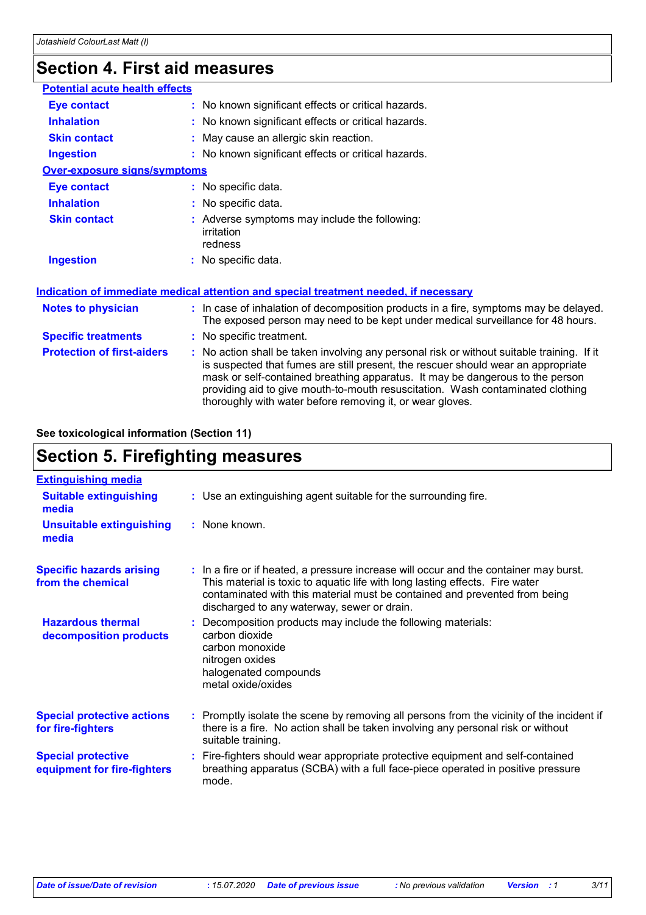# **Section 4. First aid measures**

| : No known significant effects or critical hazards.                                                                                                                                                                                                                                                                                                                                                             |
|-----------------------------------------------------------------------------------------------------------------------------------------------------------------------------------------------------------------------------------------------------------------------------------------------------------------------------------------------------------------------------------------------------------------|
| : No known significant effects or critical hazards.                                                                                                                                                                                                                                                                                                                                                             |
| : May cause an allergic skin reaction.                                                                                                                                                                                                                                                                                                                                                                          |
| : No known significant effects or critical hazards.                                                                                                                                                                                                                                                                                                                                                             |
|                                                                                                                                                                                                                                                                                                                                                                                                                 |
| : No specific data.                                                                                                                                                                                                                                                                                                                                                                                             |
| : No specific data.                                                                                                                                                                                                                                                                                                                                                                                             |
| : Adverse symptoms may include the following:<br>irritation<br>redness                                                                                                                                                                                                                                                                                                                                          |
| : No specific data.                                                                                                                                                                                                                                                                                                                                                                                             |
| Indication of immediate medical attention and special treatment needed, if necessary                                                                                                                                                                                                                                                                                                                            |
| : In case of inhalation of decomposition products in a fire, symptoms may be delayed.<br>The exposed person may need to be kept under medical surveillance for 48 hours.                                                                                                                                                                                                                                        |
| : No specific treatment.                                                                                                                                                                                                                                                                                                                                                                                        |
| : No action shall be taken involving any personal risk or without suitable training. If it<br>is suspected that fumes are still present, the rescuer should wear an appropriate<br>mask or self-contained breathing apparatus. It may be dangerous to the person<br>providing aid to give mouth-to-mouth resuscitation. Wash contaminated clothing<br>thoroughly with water before removing it, or wear gloves. |
| <b>Potential acute health effects</b><br><b>Over-exposure signs/symptoms</b>                                                                                                                                                                                                                                                                                                                                    |

#### **See toxicological information (Section 11)**

### **Section 5. Firefighting measures**

| <b>Extinguishing media</b>                               |                                                                                                                                                                                                                                                                                                    |
|----------------------------------------------------------|----------------------------------------------------------------------------------------------------------------------------------------------------------------------------------------------------------------------------------------------------------------------------------------------------|
| <b>Suitable extinguishing</b><br>media                   | : Use an extinguishing agent suitable for the surrounding fire.                                                                                                                                                                                                                                    |
| <b>Unsuitable extinguishing</b><br>media                 | $:$ None known.                                                                                                                                                                                                                                                                                    |
| <b>Specific hazards arising</b><br>from the chemical     | : In a fire or if heated, a pressure increase will occur and the container may burst.<br>This material is toxic to aquatic life with long lasting effects. Fire water<br>contaminated with this material must be contained and prevented from being<br>discharged to any waterway, sewer or drain. |
| <b>Hazardous thermal</b><br>decomposition products       | : Decomposition products may include the following materials:<br>carbon dioxide<br>carbon monoxide<br>nitrogen oxides<br>halogenated compounds<br>metal oxide/oxides                                                                                                                               |
| <b>Special protective actions</b><br>for fire-fighters   | : Promptly isolate the scene by removing all persons from the vicinity of the incident if<br>there is a fire. No action shall be taken involving any personal risk or without<br>suitable training.                                                                                                |
| <b>Special protective</b><br>equipment for fire-fighters | : Fire-fighters should wear appropriate protective equipment and self-contained<br>breathing apparatus (SCBA) with a full face-piece operated in positive pressure<br>mode.                                                                                                                        |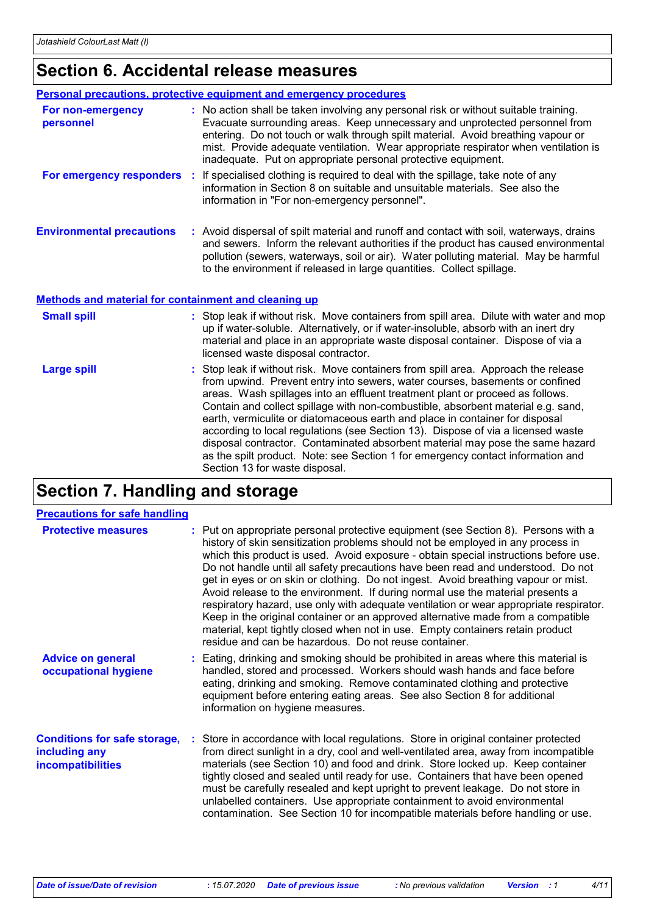# **Section 6. Accidental release measures**

|                                                             | <b>Personal precautions, protective equipment and emergency procedures</b>                                                                                                                                                                                                                                                                                                                                                                                                                                                                                                                                                                                                                                      |
|-------------------------------------------------------------|-----------------------------------------------------------------------------------------------------------------------------------------------------------------------------------------------------------------------------------------------------------------------------------------------------------------------------------------------------------------------------------------------------------------------------------------------------------------------------------------------------------------------------------------------------------------------------------------------------------------------------------------------------------------------------------------------------------------|
| For non-emergency<br>personnel                              | : No action shall be taken involving any personal risk or without suitable training.<br>Evacuate surrounding areas. Keep unnecessary and unprotected personnel from<br>entering. Do not touch or walk through spilt material. Avoid breathing vapour or<br>mist. Provide adequate ventilation. Wear appropriate respirator when ventilation is<br>inadequate. Put on appropriate personal protective equipment.                                                                                                                                                                                                                                                                                                 |
| For emergency responders :                                  | If specialised clothing is required to deal with the spillage, take note of any<br>information in Section 8 on suitable and unsuitable materials. See also the<br>information in "For non-emergency personnel".                                                                                                                                                                                                                                                                                                                                                                                                                                                                                                 |
| <b>Environmental precautions</b>                            | : Avoid dispersal of spilt material and runoff and contact with soil, waterways, drains<br>and sewers. Inform the relevant authorities if the product has caused environmental<br>pollution (sewers, waterways, soil or air). Water polluting material. May be harmful<br>to the environment if released in large quantities. Collect spillage.                                                                                                                                                                                                                                                                                                                                                                 |
| <b>Methods and material for containment and cleaning up</b> |                                                                                                                                                                                                                                                                                                                                                                                                                                                                                                                                                                                                                                                                                                                 |
| <b>Small spill</b>                                          | : Stop leak if without risk. Move containers from spill area. Dilute with water and mop<br>up if water-soluble. Alternatively, or if water-insoluble, absorb with an inert dry<br>material and place in an appropriate waste disposal container. Dispose of via a<br>licensed waste disposal contractor.                                                                                                                                                                                                                                                                                                                                                                                                        |
| <b>Large spill</b>                                          | Stop leak if without risk. Move containers from spill area. Approach the release<br>from upwind. Prevent entry into sewers, water courses, basements or confined<br>areas. Wash spillages into an effluent treatment plant or proceed as follows.<br>Contain and collect spillage with non-combustible, absorbent material e.g. sand,<br>earth, vermiculite or diatomaceous earth and place in container for disposal<br>according to local regulations (see Section 13). Dispose of via a licensed waste<br>disposal contractor. Contaminated absorbent material may pose the same hazard<br>as the spilt product. Note: see Section 1 for emergency contact information and<br>Section 13 for waste disposal. |

# **Section 7. Handling and storage**

| <b>Precautions for safe handling</b>                                      |                                                                                                                                                                                                                                                                                                                                                                                                                                                                                                                                                                                                                                                                                                                                                                                                                                                    |
|---------------------------------------------------------------------------|----------------------------------------------------------------------------------------------------------------------------------------------------------------------------------------------------------------------------------------------------------------------------------------------------------------------------------------------------------------------------------------------------------------------------------------------------------------------------------------------------------------------------------------------------------------------------------------------------------------------------------------------------------------------------------------------------------------------------------------------------------------------------------------------------------------------------------------------------|
| <b>Protective measures</b>                                                | : Put on appropriate personal protective equipment (see Section 8). Persons with a<br>history of skin sensitization problems should not be employed in any process in<br>which this product is used. Avoid exposure - obtain special instructions before use.<br>Do not handle until all safety precautions have been read and understood. Do not<br>get in eyes or on skin or clothing. Do not ingest. Avoid breathing vapour or mist.<br>Avoid release to the environment. If during normal use the material presents a<br>respiratory hazard, use only with adequate ventilation or wear appropriate respirator.<br>Keep in the original container or an approved alternative made from a compatible<br>material, kept tightly closed when not in use. Empty containers retain product<br>residue and can be hazardous. Do not reuse container. |
| <b>Advice on general</b><br>occupational hygiene                          | : Eating, drinking and smoking should be prohibited in areas where this material is<br>handled, stored and processed. Workers should wash hands and face before<br>eating, drinking and smoking. Remove contaminated clothing and protective<br>equipment before entering eating areas. See also Section 8 for additional<br>information on hygiene measures.                                                                                                                                                                                                                                                                                                                                                                                                                                                                                      |
| <b>Conditions for safe storage,</b><br>including any<br>incompatibilities | : Store in accordance with local regulations. Store in original container protected<br>from direct sunlight in a dry, cool and well-ventilated area, away from incompatible<br>materials (see Section 10) and food and drink. Store locked up. Keep container<br>tightly closed and sealed until ready for use. Containers that have been opened<br>must be carefully resealed and kept upright to prevent leakage. Do not store in<br>unlabelled containers. Use appropriate containment to avoid environmental<br>contamination. See Section 10 for incompatible materials before handling or use.                                                                                                                                                                                                                                               |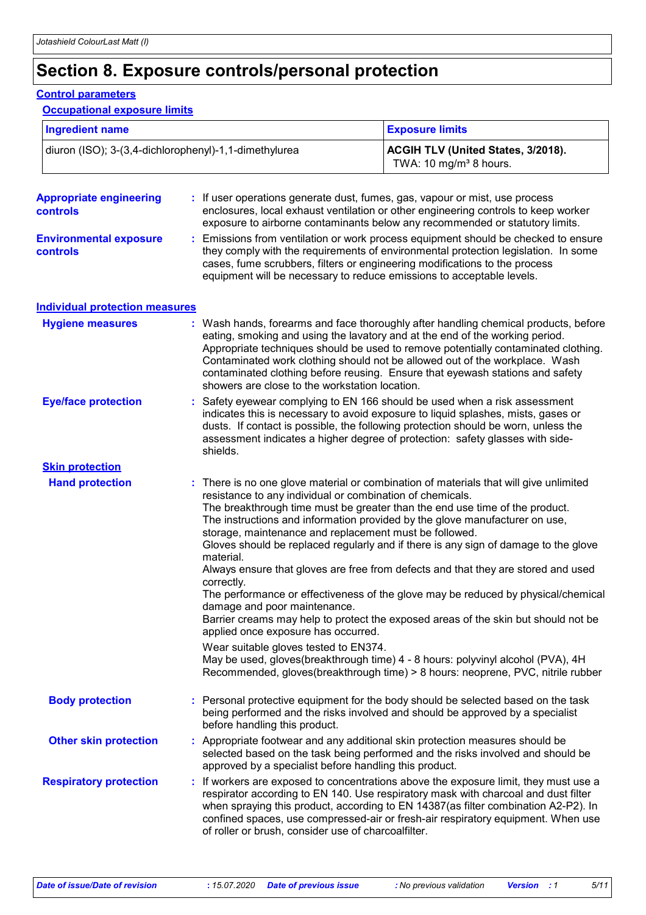# **Section 8. Exposure controls/personal protection**

#### **Control parameters**

#### **Occupational exposure limits**

| <b>Ingredient name</b>                                |  |                                                                                                                                                                                                                                                                                                                                                                                                                                                                                                                                                                                                                                                                                                                                                                                                                                                                              | <b>Exposure limits</b>                                                                                                                                                                                                                                                                                                                                                                                                    |  |
|-------------------------------------------------------|--|------------------------------------------------------------------------------------------------------------------------------------------------------------------------------------------------------------------------------------------------------------------------------------------------------------------------------------------------------------------------------------------------------------------------------------------------------------------------------------------------------------------------------------------------------------------------------------------------------------------------------------------------------------------------------------------------------------------------------------------------------------------------------------------------------------------------------------------------------------------------------|---------------------------------------------------------------------------------------------------------------------------------------------------------------------------------------------------------------------------------------------------------------------------------------------------------------------------------------------------------------------------------------------------------------------------|--|
| diuron (ISO); 3-(3,4-dichlorophenyl)-1,1-dimethylurea |  |                                                                                                                                                                                                                                                                                                                                                                                                                                                                                                                                                                                                                                                                                                                                                                                                                                                                              | ACGIH TLV (United States, 3/2018).<br>TWA: 10 mg/m <sup>3</sup> 8 hours.                                                                                                                                                                                                                                                                                                                                                  |  |
| <b>Appropriate engineering</b><br>controls            |  | : If user operations generate dust, fumes, gas, vapour or mist, use process<br>enclosures, local exhaust ventilation or other engineering controls to keep worker<br>exposure to airborne contaminants below any recommended or statutory limits.                                                                                                                                                                                                                                                                                                                                                                                                                                                                                                                                                                                                                            |                                                                                                                                                                                                                                                                                                                                                                                                                           |  |
| <b>Environmental exposure</b><br><b>controls</b>      |  | Emissions from ventilation or work process equipment should be checked to ensure<br>they comply with the requirements of environmental protection legislation. In some<br>cases, fume scrubbers, filters or engineering modifications to the process<br>equipment will be necessary to reduce emissions to acceptable levels.                                                                                                                                                                                                                                                                                                                                                                                                                                                                                                                                                |                                                                                                                                                                                                                                                                                                                                                                                                                           |  |
| <b>Individual protection measures</b>                 |  |                                                                                                                                                                                                                                                                                                                                                                                                                                                                                                                                                                                                                                                                                                                                                                                                                                                                              |                                                                                                                                                                                                                                                                                                                                                                                                                           |  |
| <b>Hygiene measures</b>                               |  | showers are close to the workstation location.                                                                                                                                                                                                                                                                                                                                                                                                                                                                                                                                                                                                                                                                                                                                                                                                                               | : Wash hands, forearms and face thoroughly after handling chemical products, before<br>eating, smoking and using the lavatory and at the end of the working period.<br>Appropriate techniques should be used to remove potentially contaminated clothing.<br>Contaminated work clothing should not be allowed out of the workplace. Wash<br>contaminated clothing before reusing. Ensure that eyewash stations and safety |  |
| <b>Eye/face protection</b>                            |  | Safety eyewear complying to EN 166 should be used when a risk assessment<br>indicates this is necessary to avoid exposure to liquid splashes, mists, gases or<br>dusts. If contact is possible, the following protection should be worn, unless the<br>assessment indicates a higher degree of protection: safety glasses with side-<br>shields.                                                                                                                                                                                                                                                                                                                                                                                                                                                                                                                             |                                                                                                                                                                                                                                                                                                                                                                                                                           |  |
| <b>Skin protection</b>                                |  |                                                                                                                                                                                                                                                                                                                                                                                                                                                                                                                                                                                                                                                                                                                                                                                                                                                                              |                                                                                                                                                                                                                                                                                                                                                                                                                           |  |
| <b>Hand protection</b>                                |  | : There is no one glove material or combination of materials that will give unlimited<br>resistance to any individual or combination of chemicals.<br>The breakthrough time must be greater than the end use time of the product.<br>The instructions and information provided by the glove manufacturer on use,<br>storage, maintenance and replacement must be followed.<br>Gloves should be replaced regularly and if there is any sign of damage to the glove<br>material.<br>Always ensure that gloves are free from defects and that they are stored and used<br>correctly.<br>The performance or effectiveness of the glove may be reduced by physical/chemical<br>damage and poor maintenance.<br>Barrier creams may help to protect the exposed areas of the skin but should not be<br>applied once exposure has occurred.<br>Wear suitable gloves tested to EN374. |                                                                                                                                                                                                                                                                                                                                                                                                                           |  |
|                                                       |  |                                                                                                                                                                                                                                                                                                                                                                                                                                                                                                                                                                                                                                                                                                                                                                                                                                                                              | May be used, gloves(breakthrough time) 4 - 8 hours: polyvinyl alcohol (PVA), 4H<br>Recommended, gloves(breakthrough time) > 8 hours: neoprene, PVC, nitrile rubber                                                                                                                                                                                                                                                        |  |
| <b>Body protection</b>                                |  | : Personal protective equipment for the body should be selected based on the task<br>being performed and the risks involved and should be approved by a specialist<br>before handling this product.                                                                                                                                                                                                                                                                                                                                                                                                                                                                                                                                                                                                                                                                          |                                                                                                                                                                                                                                                                                                                                                                                                                           |  |
| <b>Other skin protection</b>                          |  | : Appropriate footwear and any additional skin protection measures should be<br>selected based on the task being performed and the risks involved and should be<br>approved by a specialist before handling this product.                                                                                                                                                                                                                                                                                                                                                                                                                                                                                                                                                                                                                                                    |                                                                                                                                                                                                                                                                                                                                                                                                                           |  |
| <b>Respiratory protection</b>                         |  | If workers are exposed to concentrations above the exposure limit, they must use a<br>respirator according to EN 140. Use respiratory mask with charcoal and dust filter<br>when spraying this product, according to EN 14387(as filter combination A2-P2). In<br>confined spaces, use compressed-air or fresh-air respiratory equipment. When use<br>of roller or brush, consider use of charcoalfilter.                                                                                                                                                                                                                                                                                                                                                                                                                                                                    |                                                                                                                                                                                                                                                                                                                                                                                                                           |  |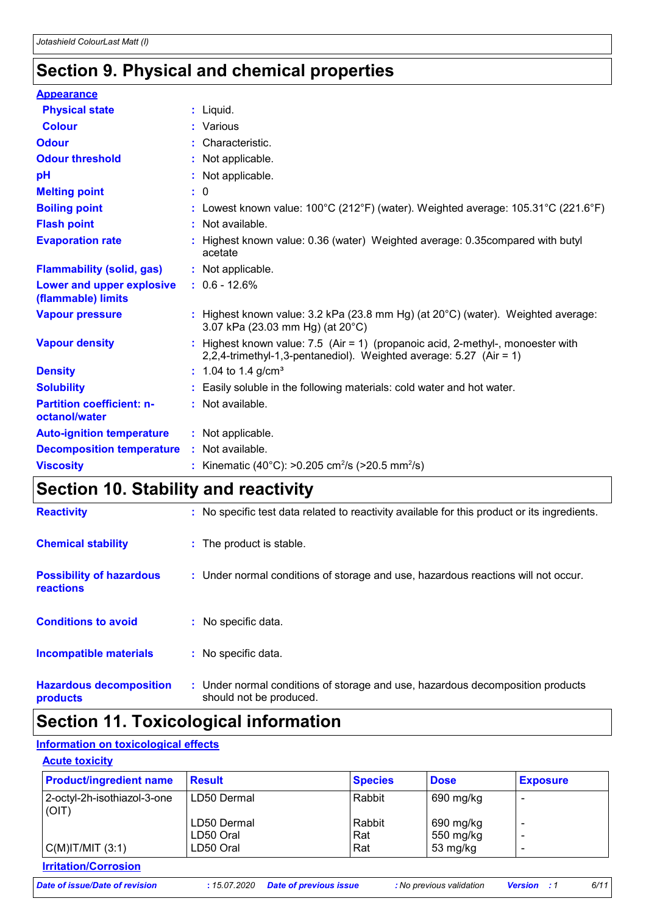## **Section 9. Physical and chemical properties**

| <b>Appearance</b>                                 |                                                                                                                                                         |
|---------------------------------------------------|---------------------------------------------------------------------------------------------------------------------------------------------------------|
| <b>Physical state</b>                             | $:$ Liquid.                                                                                                                                             |
| <b>Colour</b>                                     | : Various                                                                                                                                               |
| <b>Odour</b>                                      | : Characteristic.                                                                                                                                       |
| <b>Odour threshold</b>                            | : Not applicable.                                                                                                                                       |
| pH                                                | : Not applicable.                                                                                                                                       |
| <b>Melting point</b>                              | $\cdot$ 0                                                                                                                                               |
| <b>Boiling point</b>                              | : Lowest known value: $100^{\circ}$ C (212 $^{\circ}$ F) (water). Weighted average: $105.31^{\circ}$ C (221.6 $^{\circ}$ F)                             |
| <b>Flash point</b>                                | : Not available.                                                                                                                                        |
| <b>Evaporation rate</b>                           | : Highest known value: 0.36 (water) Weighted average: 0.35 compared with butyl<br>acetate                                                               |
| <b>Flammability (solid, gas)</b>                  | : Not applicable.                                                                                                                                       |
| Lower and upper explosive<br>(flammable) limits   | $: 0.6 - 12.6%$                                                                                                                                         |
| <b>Vapour pressure</b>                            | : Highest known value: $3.2$ kPa (23.8 mm Hg) (at $20^{\circ}$ C) (water). Weighted average:<br>3.07 kPa (23.03 mm Hg) (at 20°C)                        |
| <b>Vapour density</b>                             | : Highest known value: $7.5$ (Air = 1) (propanoic acid, 2-methyl-, monoester with<br>2,2,4-trimethyl-1,3-pentanediol). Weighted average: 5.27 (Air = 1) |
| <b>Density</b>                                    | $: 1.04$ to 1.4 g/cm <sup>3</sup>                                                                                                                       |
| <b>Solubility</b>                                 | : Easily soluble in the following materials: cold water and hot water.                                                                                  |
| <b>Partition coefficient: n-</b><br>octanol/water | : Not available.                                                                                                                                        |
| <b>Auto-ignition temperature</b>                  | : Not applicable.                                                                                                                                       |
| <b>Decomposition temperature</b>                  | : Not available.                                                                                                                                        |
| <b>Viscosity</b>                                  | : Kinematic (40°C): >0.205 cm <sup>2</sup> /s (>20.5 mm <sup>2</sup> /s)                                                                                |

### **Section 10. Stability and reactivity**

| <b>Reactivity</b>                                   | : No specific test data related to reactivity available for this product or its ingredients.              |
|-----------------------------------------------------|-----------------------------------------------------------------------------------------------------------|
| <b>Chemical stability</b>                           | : The product is stable.                                                                                  |
| <b>Possibility of hazardous</b><br><b>reactions</b> | : Under normal conditions of storage and use, hazardous reactions will not occur.                         |
| <b>Conditions to avoid</b>                          | : No specific data.                                                                                       |
| <b>Incompatible materials</b>                       | : No specific data.                                                                                       |
| <b>Hazardous decomposition</b><br>products          | : Under normal conditions of storage and use, hazardous decomposition products<br>should not be produced. |

# **Section 11. Toxicological information**

#### **Information on toxicological effects**

| <b>Acute toxicity</b> |
|-----------------------|
|-----------------------|

| <b>Product/ingredient name</b>       | <b>Result</b> | <b>Species</b> | <b>Dose</b>        | <b>Exposure</b> |
|--------------------------------------|---------------|----------------|--------------------|-----------------|
| 2-octyl-2h-isothiazol-3-one<br>(OIT) | LD50 Dermal   | Rabbit         | 690 mg/kg          |                 |
|                                      | LD50 Dermal   | Rabbit         | 690 mg/kg          |                 |
|                                      | LD50 Oral     | Rat            | 550 mg/kg          |                 |
| C(M) T/MIT (3:1)                     | LD50 Oral     | Rat            | $53 \text{ mg/kg}$ |                 |
| <b>Irritation/Corrosion</b>          |               |                |                    |                 |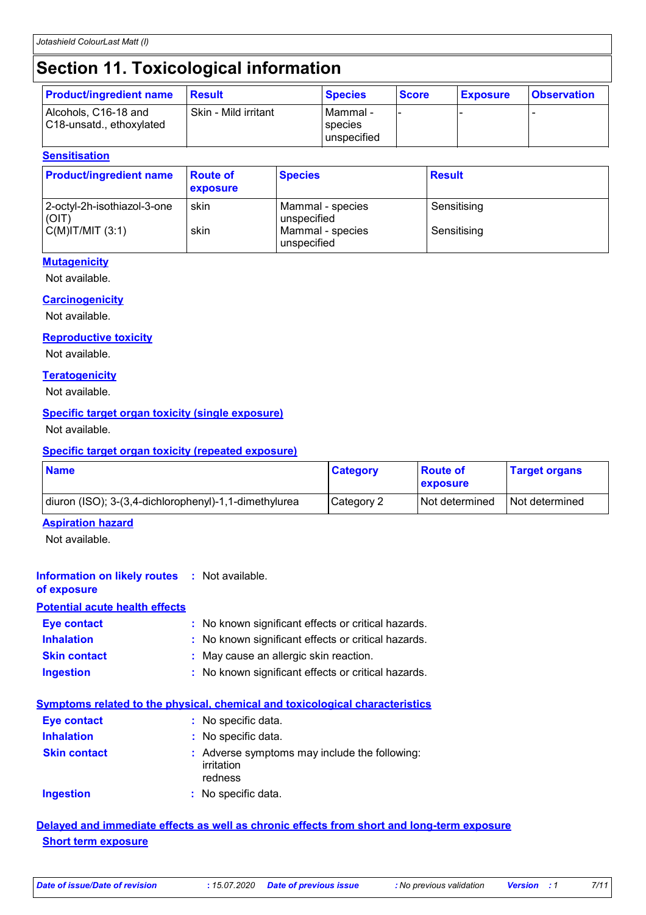# **Section 11. Toxicological information**

| <b>Product/ingredient name</b>                   | <b>Result</b>        | <b>Species</b>                      | <b>Score</b> | <b>Exposure</b> | <b>Observation</b> |
|--------------------------------------------------|----------------------|-------------------------------------|--------------|-----------------|--------------------|
| Alcohols, C16-18 and<br>C18-unsatd., ethoxylated | Skin - Mild irritant | IMammal -<br>species<br>unspecified |              |                 |                    |

#### **Sensitisation**

| <b>Product/ingredient name</b>       | <b>Route of</b><br><b>exposure</b> | <b>Species</b>                  | <b>Result</b> |
|--------------------------------------|------------------------------------|---------------------------------|---------------|
| 2-octyl-2h-isothiazol-3-one<br>(OIT) | skin                               | Mammal - species<br>unspecified | Sensitising   |
| $C(M)$ IT/MIT $(3:1)$                | skin                               | Mammal - species<br>unspecified | Sensitising   |

#### **Mutagenicity**

Not available.

#### **Carcinogenicity**

Not available.

#### **Reproductive toxicity**

Not available.

#### **Teratogenicity**

Not available.

#### **Specific target organ toxicity (single exposure)**

Not available.

#### **Specific target organ toxicity (repeated exposure)**

| <b>Name</b>                                           | <b>Category</b> | <b>Boute of</b><br><b>Lexposure</b> | <b>Target organs</b> |
|-------------------------------------------------------|-----------------|-------------------------------------|----------------------|
| diuron (ISO); 3-(3,4-dichlorophenyl)-1,1-dimethylurea | Category 2      | <b>Not determined</b>               | I Not determined     |

#### **Aspiration hazard**

Not available.

| <b>Information on likely routes : Not available.</b><br>of exposure |                                                                                     |
|---------------------------------------------------------------------|-------------------------------------------------------------------------------------|
| <b>Potential acute health effects</b>                               |                                                                                     |
| Eye contact                                                         | : No known significant effects or critical hazards.                                 |
| <b>Inhalation</b>                                                   | : No known significant effects or critical hazards.                                 |
| <b>Skin contact</b>                                                 | : May cause an allergic skin reaction.                                              |
| Ingestion                                                           | : No known significant effects or critical hazards.                                 |
|                                                                     | <b>Symptoms related to the physical, chemical and toxicological characteristics</b> |
| Eye contact                                                         | : No specific data.                                                                 |

| <b>Inhalation</b>   | : No specific data.                                                    |
|---------------------|------------------------------------------------------------------------|
| <b>Skin contact</b> | : Adverse symptoms may include the following:<br>irritation<br>redness |
| <b>Ingestion</b>    | : No specific data.                                                    |

#### **Delayed and immediate effects as well as chronic effects from short and long-term exposure Short term exposure**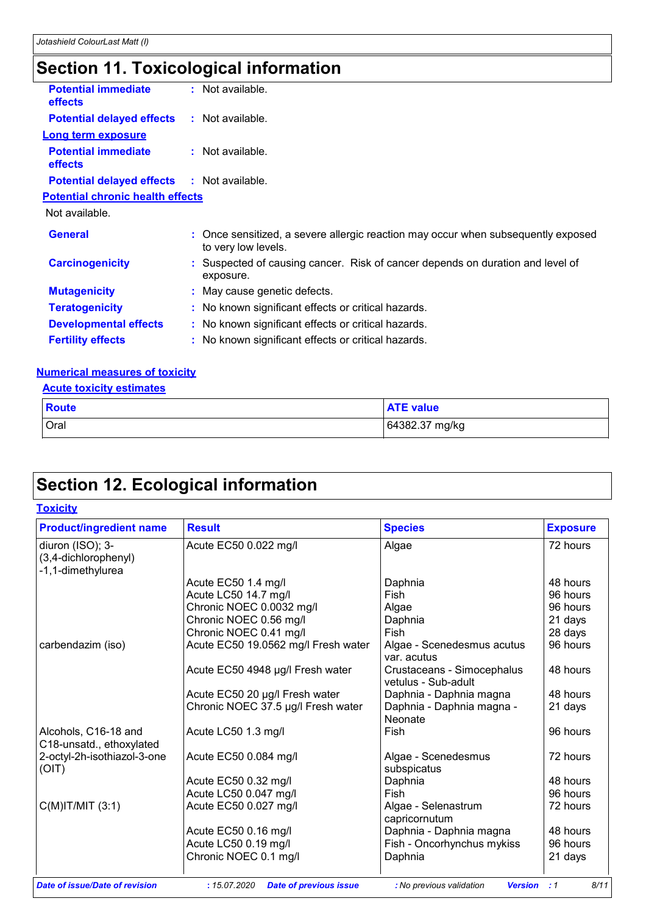# **Section 11. Toxicological information**

| <b>Potential immediate</b><br>effects             | : Not available.                                                                                         |
|---------------------------------------------------|----------------------------------------------------------------------------------------------------------|
| <b>Potential delayed effects</b>                  | : Not available.                                                                                         |
| <b>Long term exposure</b>                         |                                                                                                          |
| <b>Potential immediate</b><br><b>effects</b>      | $:$ Not available.                                                                                       |
| <b>Potential delayed effects : Not available.</b> |                                                                                                          |
| <b>Potential chronic health effects</b>           |                                                                                                          |
| Not available.                                    |                                                                                                          |
| <b>General</b>                                    | : Once sensitized, a severe allergic reaction may occur when subsequently exposed<br>to very low levels. |
| <b>Carcinogenicity</b>                            | : Suspected of causing cancer. Risk of cancer depends on duration and level of<br>exposure.              |
| <b>Mutagenicity</b>                               | : May cause genetic defects.                                                                             |
| <b>Teratogenicity</b>                             | : No known significant effects or critical hazards.                                                      |
| <b>Developmental effects</b>                      | : No known significant effects or critical hazards.                                                      |
| <b>Fertility effects</b>                          | : No known significant effects or critical hazards.                                                      |
|                                                   |                                                                                                          |

#### **Numerical measures of toxicity**

#### **Acute toxicity estimates**

| <b>Route</b> | <b>ATE value</b> |
|--------------|------------------|
| Oral         | 64382.37 mg/kg   |

# **Section 12. Ecological information**

| <b>Toxicity</b> |  |  |
|-----------------|--|--|
|                 |  |  |

| <b>Product/ingredient name</b>                                | <b>Result</b>                       | <b>Species</b>                                    | <b>Exposure</b> |
|---------------------------------------------------------------|-------------------------------------|---------------------------------------------------|-----------------|
| diuron (ISO); 3-<br>(3,4-dichlorophenyl)<br>-1,1-dimethylurea | Acute EC50 0.022 mg/l               | Algae                                             | 72 hours        |
|                                                               | Acute EC50 1.4 mg/l                 | Daphnia                                           | 48 hours        |
|                                                               | Acute LC50 14.7 mg/l                | Fish                                              | 96 hours        |
|                                                               | Chronic NOEC 0.0032 mg/l            | Algae                                             | 96 hours        |
|                                                               | Chronic NOEC 0.56 mg/l              | Daphnia                                           | 21 days         |
|                                                               | Chronic NOEC 0.41 mg/l              | Fish                                              | 28 days         |
| carbendazim (iso)                                             | Acute EC50 19.0562 mg/l Fresh water | Algae - Scenedesmus acutus<br>var. acutus         | 96 hours        |
|                                                               | Acute EC50 4948 µg/l Fresh water    | Crustaceans - Simocephalus<br>vetulus - Sub-adult | 48 hours        |
|                                                               | Acute EC50 20 µg/l Fresh water      | Daphnia - Daphnia magna                           | 48 hours        |
|                                                               | Chronic NOEC 37.5 µg/l Fresh water  | Daphnia - Daphnia magna -<br>Neonate              | 21 days         |
| Alcohols, C16-18 and<br>C18-unsatd., ethoxylated              | Acute LC50 1.3 mg/l                 | Fish                                              | 96 hours        |
| 2-octyl-2h-isothiazol-3-one<br>(OIT)                          | Acute EC50 0.084 mg/l               | Algae - Scenedesmus<br>subspicatus                | 72 hours        |
|                                                               | Acute EC50 0.32 mg/l                | Daphnia                                           | 48 hours        |
|                                                               | Acute LC50 0.047 mg/l               | Fish                                              | 96 hours        |
| $C(M)$ IT/MIT $(3:1)$                                         | Acute EC50 0.027 mg/l               | Algae - Selenastrum<br>capricornutum              | 72 hours        |
|                                                               | Acute EC50 0.16 mg/l                | Daphnia - Daphnia magna                           | 48 hours        |
|                                                               | Acute LC50 0.19 mg/l                | Fish - Oncorhynchus mykiss                        | 96 hours        |
|                                                               | Chronic NOEC 0.1 mg/l               | Daphnia                                           | 21 days         |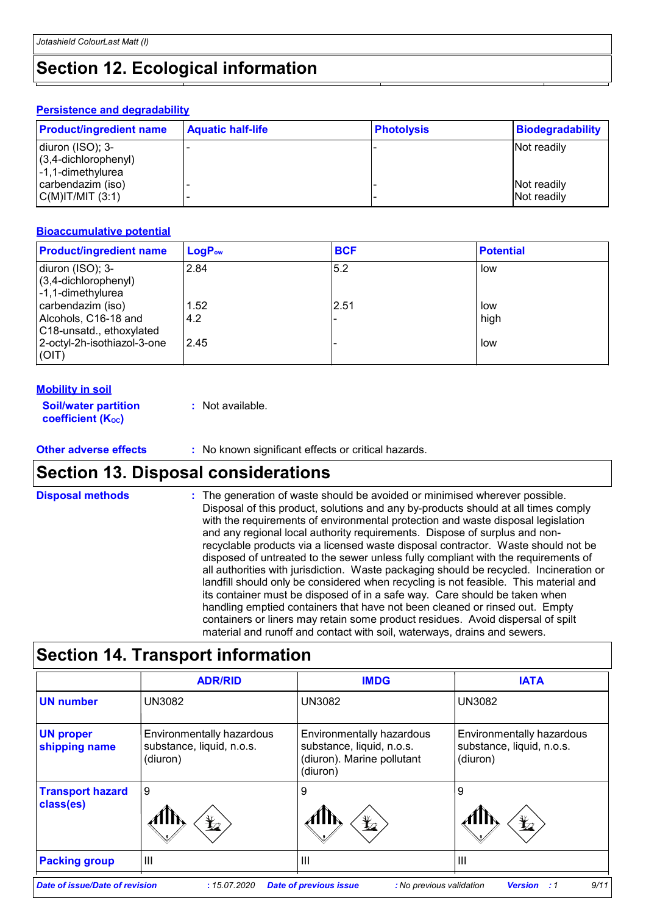### **Section 12. Ecological information**

#### **Persistence and degradability**

| <b>Product/ingredient name</b> | <b>Aquatic half-life</b> | <b>Photolysis</b> | Biodegradability |
|--------------------------------|--------------------------|-------------------|------------------|
| diuron (ISO); 3-               |                          |                   | Not readily      |
| $(3,4$ -dichlorophenyl)        |                          |                   |                  |
| l-1,1-dimethylurea             |                          |                   |                  |
| carbendazim (iso)              |                          |                   | Not readily      |
| C(M) T/MIT (3:1)               |                          |                   | Not readily      |

#### **Bioaccumulative potential**

| <b>Product/ingredient name</b>                                        | $LogP_{ow}$ | <b>BCF</b> | <b>Potential</b> |
|-----------------------------------------------------------------------|-------------|------------|------------------|
| diuron (ISO); 3-<br>(3,4-dichlorophenyl)<br>-1,1-dimethylurea         | 2.84        | 5.2        | low              |
| carbendazim (iso)<br>Alcohols, C16-18 and<br>C18-unsatd., ethoxylated | 1.52<br>4.2 | 2.51       | low<br>high      |
| 2-octyl-2h-isothiazol-3-one<br>(OIT)                                  | 2.45        |            | low              |

#### **Mobility in soil**

| <b>Soil/water partition</b> | : Not available. |
|-----------------------------|------------------|
| <b>coefficient (Koc)</b>    |                  |

**Other adverse effects** : No known significant effects or critical hazards.

### **Section 13. Disposal considerations**

The generation of waste should be avoided or minimised wherever possible. Disposal of this product, solutions and any by-products should at all times comply with the requirements of environmental protection and waste disposal legislation and any regional local authority requirements. Dispose of surplus and nonrecyclable products via a licensed waste disposal contractor. Waste should not be disposed of untreated to the sewer unless fully compliant with the requirements of all authorities with jurisdiction. Waste packaging should be recycled. Incineration or landfill should only be considered when recycling is not feasible. This material and its container must be disposed of in a safe way. Care should be taken when handling emptied containers that have not been cleaned or rinsed out. Empty containers or liners may retain some product residues. Avoid dispersal of spilt material and runoff and contact with soil, waterways, drains and sewers. **Disposal methods :**

### **Section 14. Transport information**

|                                      | <b>ADR/RID</b>                                                     | <b>IMDG</b>                                                                                      | <b>IATA</b>                                                        |
|--------------------------------------|--------------------------------------------------------------------|--------------------------------------------------------------------------------------------------|--------------------------------------------------------------------|
| <b>UN number</b>                     | <b>UN3082</b>                                                      | <b>UN3082</b>                                                                                    | <b>UN3082</b>                                                      |
| <b>UN proper</b><br>shipping name    | Environmentally hazardous<br>substance, liquid, n.o.s.<br>(diuron) | Environmentally hazardous<br>substance, liquid, n.o.s.<br>(diuron). Marine pollutant<br>(diuron) | Environmentally hazardous<br>substance, liquid, n.o.s.<br>(diuron) |
| <b>Transport hazard</b><br>class(es) | 9<br>$\bigstar$                                                    | 9<br>$\bigstar$                                                                                  | 9<br>$\bigstar$                                                    |
| <b>Packing group</b>                 | III                                                                | $\mathbf{III}$                                                                                   | Ш                                                                  |
| Date of issue/Date of revision       | :15.07.2020                                                        | <b>Date of previous issue</b><br>: No previous validation                                        | 9/11<br><b>Version</b><br>:1                                       |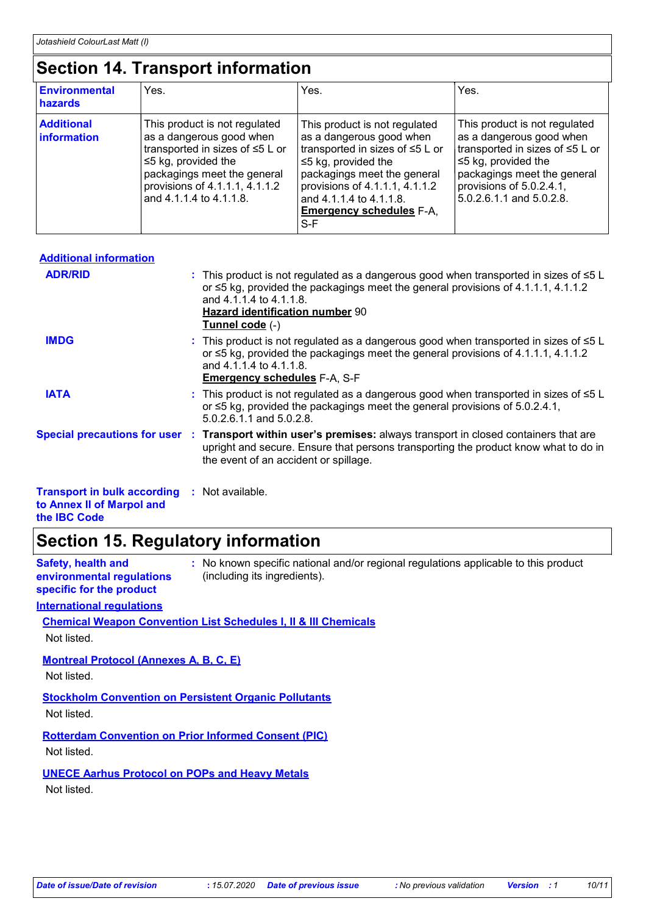### **Section 14. Transport information**

| <b>Environmental</b><br>hazards  | Yes.                                                                                                                                                                                                                  | Yes.                                                                                                                                                                                                                                                                | Yes.                                                                                                                                                                                                             |
|----------------------------------|-----------------------------------------------------------------------------------------------------------------------------------------------------------------------------------------------------------------------|---------------------------------------------------------------------------------------------------------------------------------------------------------------------------------------------------------------------------------------------------------------------|------------------------------------------------------------------------------------------------------------------------------------------------------------------------------------------------------------------|
| <b>Additional</b><br>information | This product is not regulated<br>as a dangerous good when<br>transported in sizes of ≤5 L or<br>$\leq$ 5 kg, provided the<br>packagings meet the general<br>provisions of 4.1.1.1, 4.1.1.2<br>and 4.1.1.4 to 4.1.1.8. | This product is not regulated<br>as a dangerous good when<br>transported in sizes of ≤5 L or<br>$\leq$ 5 kg, provided the<br>packagings meet the general<br>provisions of $4.1.1.1, 4.1.1.2$<br>and 4.1.1.4 to 4.1.1.8.<br><b>Emergency schedules F-A.</b><br>$S-F$ | This product is not regulated<br>as a dangerous good when<br>transported in sizes of ≤5 L or<br>$\leq$ 5 kg, provided the<br>packagings meet the general<br>provisions of 5.0.2.4.1,<br>5.0.2.6.1.1 and 5.0.2.8. |

| <b>Additional information</b>                                                    |                                                                                                                                                                                                                                                                                |
|----------------------------------------------------------------------------------|--------------------------------------------------------------------------------------------------------------------------------------------------------------------------------------------------------------------------------------------------------------------------------|
| <b>ADR/RID</b>                                                                   | : This product is not regulated as a dangerous good when transported in sizes of $\leq 5$ L<br>or $\leq$ 5 kg, provided the packagings meet the general provisions of 4.1.1.1, 4.1.1.2<br>and 4.1.1.4 to 4.1.1.8.<br><b>Hazard identification number 90</b><br>Tunnel code (-) |
| <b>IMDG</b>                                                                      | : This product is not regulated as a dangerous good when transported in sizes of ≤5 L<br>or $\leq$ 5 kg, provided the packagings meet the general provisions of 4.1.1.1, 4.1.1.2<br>and 4.1.1.4 to 4.1.1.8.<br><b>Emergency schedules F-A, S-F</b>                             |
| <b>IATA</b>                                                                      | : This product is not regulated as a dangerous good when transported in sizes of $\leq 5$ L<br>or $\leq$ 5 kg, provided the packagings meet the general provisions of 5.0.2.4.1,<br>5.0.2.6.1.1 and 5.0.2.8.                                                                   |
|                                                                                  | Special precautions for user : Transport within user's premises: always transport in closed containers that are<br>upright and secure. Ensure that persons transporting the product know what to do in<br>the event of an accident or spillage.                                |
| <b>Transport in bulk according : Not available.</b><br>to Annex II of Marpol and |                                                                                                                                                                                                                                                                                |

**the IBC Code**

### **Section 15. Regulatory information**

| <b>Safety, health and</b><br>environmental regulations<br>specific for the product | : No known specific national and/or regional regulations applicable to this product<br>(including its ingredients). |
|------------------------------------------------------------------------------------|---------------------------------------------------------------------------------------------------------------------|
| <b>International regulations</b>                                                   |                                                                                                                     |
|                                                                                    | <b>Chemical Weapon Convention List Schedules I, II &amp; III Chemicals</b>                                          |
| Not listed.                                                                        |                                                                                                                     |
| <b>Montreal Protocol (Annexes A, B, C, E)</b>                                      |                                                                                                                     |
| Not listed.                                                                        |                                                                                                                     |
|                                                                                    |                                                                                                                     |

**Stockholm Convention on Persistent Organic Pollutants** Not listed.

**Rotterdam Convention on Prior Informed Consent (PIC)** Not listed.

**UNECE Aarhus Protocol on POPs and Heavy Metals**

Not listed.